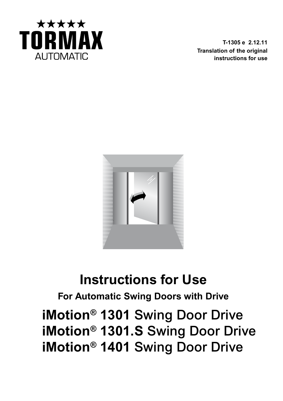

**T-1305 e 2.12.11 Translation of the original instructions for use**



# **Instructions for Use**

**For Automatic Swing Doors with Drive**

**iMotion® 1301** Swing Door Drive **iMotion® 1301.S** Swing Door Drive **iMotion® 1401** Swing Door Drive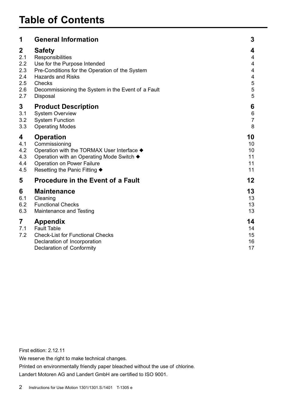| 1               | <b>General Information</b>                                                                                                                    | 3                          |
|-----------------|-----------------------------------------------------------------------------------------------------------------------------------------------|----------------------------|
| $\mathbf{2}$    | <b>Safety</b>                                                                                                                                 | 4                          |
| 2.1             | Responsibilities                                                                                                                              | 4                          |
| 2.2             | Use for the Purpose Intended                                                                                                                  | 4                          |
| 2.3             | Pre-Conditions for the Operation of the System                                                                                                | 4                          |
| 2.4             | <b>Hazards and Risks</b>                                                                                                                      | 4                          |
| 2.5             | Checks                                                                                                                                        | 5                          |
| 2.6             | Decommissioning the System in the Event of a Fault                                                                                            | 5                          |
| 2.7             | Disposal                                                                                                                                      | 5                          |
| 3               | <b>Product Description</b>                                                                                                                    | 6                          |
| 3.1             | <b>System Overview</b>                                                                                                                        | 6                          |
| 3.2             | <b>System Function</b>                                                                                                                        | $\overline{7}$             |
| 3.3             | <b>Operating Modes</b>                                                                                                                        | 8                          |
| 4               | <b>Operation</b>                                                                                                                              | 10                         |
| 4.1             | Commissioning                                                                                                                                 | 10                         |
| 4.2             | Operation with the TORMAX User Interface ♦                                                                                                    | 10                         |
| 4.3             | Operation with an Operating Mode Switch ♦                                                                                                     | 11                         |
| 4.4             | Operation on Power Failure                                                                                                                    | 11                         |
| 4.5             | Resetting the Panic Fitting ♦                                                                                                                 | 11                         |
| 5               | <b>Procedure in the Event of a Fault</b>                                                                                                      | 12                         |
| 6               | <b>Maintenance</b>                                                                                                                            | 13                         |
| 6.1             | Cleaning                                                                                                                                      | 13                         |
| 6.2             | <b>Functional Checks</b>                                                                                                                      | 13                         |
| 6.3             | Maintenance and Testing                                                                                                                       | 13                         |
| 7<br>7.1<br>7.2 | <b>Appendix</b><br><b>Fault Table</b><br><b>Check-List for Functional Checks</b><br>Declaration of Incorporation<br>Declaration of Conformity | 14<br>14<br>15<br>16<br>17 |

First edition: 2.12.11

We reserve the right to make technical changes.

Printed on environmentally friendly paper bleached without the use of chlorine. Landert Motoren AG and Landert GmbH are certified to ISO 9001.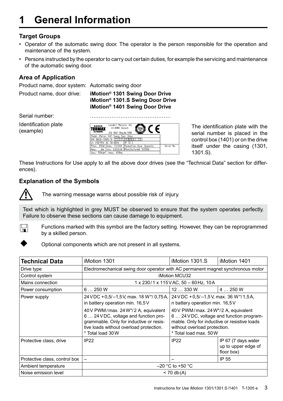# **1 General Information**

## **Target Groups**

- • Operator of the automatic swing door. The operator is the person responsible for the operation and maintenance of the system.
- • Persons instructed by the operator to carry out certain duties, for example the servicing and maintenance of the automatic swing door.

## **Area of Application**

Product name, door system: Automatic swing door

Product name, door drive: **iMotion® 1301 Swing Door Drive iMotion® 1301.S Swing Door Drive iMotion® 1401 Swing Door Drive**

Serial number:

Identification plate (example)



The identification plate with the serial number is placed in the control box (1401) or on the drive itself under the casing (1301, 1301.S).

These Instructions for Use apply to all the above door drives (see the "Technical Data" section for differences).

## **Explanation of the Symbols**



The warning message warns about possible risk of injury.

Text which is highlighted in grey MUST be observed to ensure that the system operates perfectly. Failure to observe these sections can cause damage to equipment.



Functions marked with this symbol are the factory setting. However, they can be reprogrammed by a skilled person.



Optional components which are not present in all systems.

| Technical Data                | iMotion 1301                                                                                                                                                                                                                                                          | iMotion 1301.S                                                                                                                                                                                                                                                       | iMotion 1401                                             |  |
|-------------------------------|-----------------------------------------------------------------------------------------------------------------------------------------------------------------------------------------------------------------------------------------------------------------------|----------------------------------------------------------------------------------------------------------------------------------------------------------------------------------------------------------------------------------------------------------------------|----------------------------------------------------------|--|
| Drive type                    | Electromechanical swing door operator with AC permanent magnet synchronous motor                                                                                                                                                                                      |                                                                                                                                                                                                                                                                      |                                                          |  |
| Control system                | iMotion MCU32                                                                                                                                                                                                                                                         |                                                                                                                                                                                                                                                                      |                                                          |  |
| Mains connection              | 1 x 230/1 x 115 VAC, 50 - 60 Hz, 10 A                                                                                                                                                                                                                                 |                                                                                                                                                                                                                                                                      |                                                          |  |
| Power consumption             | 6250W                                                                                                                                                                                                                                                                 | 12330W                                                                                                                                                                                                                                                               | 4  250 W                                                 |  |
| Power supply                  | 24 VDC + 0,5/-1,5 V, max. 18 W*/ 0,75 A,<br>in battery operation min. 16,5V<br>40 V PWM/max. 24 W*/2 A, equivalent<br>6  24 V DC, voltage and function pro-<br>grammable. Only for inductive or resis-<br>tive loads without overload protection.<br>* Total load 30W | 24 VDC + 0,5/-1,5 V, max. 36 W*/1,5 A,<br>n battery operation min. 16,5V<br>40 V PWM/max. 24 W*/2 A, equivalent<br>6  24 VDC, voltage and function program-<br>mable. Only for inductive or resistive loads<br>without overload protection.<br>* Total load max, 50W |                                                          |  |
| Protective class, drive       | <b>IP22</b>                                                                                                                                                                                                                                                           | IP <sub>22</sub>                                                                                                                                                                                                                                                     | IP 67 (7 days water<br>up to upper edge of<br>floor box) |  |
| Protective class, control box |                                                                                                                                                                                                                                                                       |                                                                                                                                                                                                                                                                      | IP 55                                                    |  |
| Ambient temperature           | $-20$ °C to +50 °C                                                                                                                                                                                                                                                    |                                                                                                                                                                                                                                                                      |                                                          |  |
| Noise emission level          | $< 70$ db(A)                                                                                                                                                                                                                                                          |                                                                                                                                                                                                                                                                      |                                                          |  |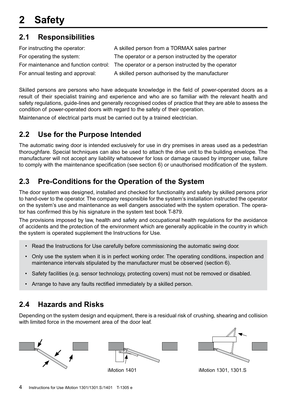## **2.1 Responsibilities**

| For instructing the operator:    | A skilled person from a TORMAX sales partner                                              |
|----------------------------------|-------------------------------------------------------------------------------------------|
| For operating the system:        | The operator or a person instructed by the operator                                       |
|                                  | For maintenance and function control: The operator or a person instructed by the operator |
| For annual testing and approval: | A skilled person authorised by the manufacturer                                           |

Skilled persons are persons who have adequate knowledge in the field of power-operated doors as a result of their specialist training and experience and who are so familiar with the relevant health and safety regulations, guide-lines and generally recognised codes of practice that they are able to assess the condition of power-operated doors with regard to the safety of their operation.

Maintenance of electrical parts must be carried out by a trained electrician.

## **2.2 Use for the Purpose Intended**

The automatic swing door is intended exclusively for use in dry premises in areas used as a pedestrian thoroughfare. Special techniques can also be used to attach the drive unit to the building envelope. The manufacturer will not accept any liability whatsoever for loss or damage caused by improper use, failure to comply with the maintenance specification (see section 6) or unauthorised modification of the system.

## **2.3 Pre-Conditions for the Operation of the System**

The door system was designed, installed and checked for functionality and safety by skilled persons prior to hand-over to the operator. The company responsible for the system's installation instructed the operator on the system's use and maintenance as well dangers associated with the system operation. The operator has confirmed this by his signature in the system test book T-879.

The provisions imposed by law, health and safety and occupational health regulations for the avoidance of accidents and the protection of the environment which are generally applicable in the country in which the system is operated supplement the Instructions for Use.

- Read the Instructions for Use carefully before commissioning the automatic swing door.
- • Only use the system when it is in perfect working order. The operating conditions, inspection and maintenance intervals stipulated by the manufacturer must be observed (section 6).
- Safety facilities (e.g. sensor technology, protecting covers) must not be removed or disabled.
- Arrange to have any faults rectified immediately by a skilled person.

## **2.4 Hazards and Risks**

Depending on the system design and equipment, there is a residual risk of crushing, shearing and collision with limited force in the movement area of the door leaf.







iMotion 1401 **iMotion 1301**, 1301.S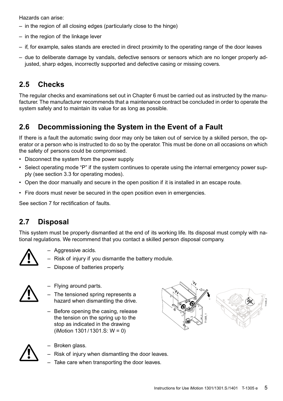Hazards can arise:

- $-$  in the region of all closing edges (particularly close to the hinge)
- $-$  in the region of the linkage lever
- $-$  if, for example, sales stands are erected in direct proximity to the operating range of the door leaves
- – due to deliberate damage by vandals, defective sensors or sensors which are no longer properly adjusted, sharp edges, incorrectly supported and defective casing or missing covers.

## **2.5 Checks**

The regular checks and examinations set out in Chapter 6 must be carried out as instructed by the manufacturer. The manufacturer recommends that a maintenance contract be concluded in order to operate the system safely and to maintain its value for as long as possible.

## **2.6 Decommissioning the System in the Event of a Fault**

If there is a fault the automatic swing door may only be taken out of service by a skilled person, the operator or a person who is instructed to do so by the operator. This must be done on all occasions on which the safety of persons could be compromised.

- Disconnect the system from the power supply.
- • Select operating mode "P" if the system continues to operate using the internal emergency power supply (see section 3.3 for operating modes).
- • Open the door manually and secure in the open position if it is installed in an escape route.
- Fire doors must never be secured in the open position even in emergencies.

See section 7 for rectification of faults.

## **2.7 Disposal**

This system must be properly dismantled at the end of its working life. Its disposal must comply with national regulations. We recommend that you contact a skilled person disposal company.



- – Aggressive acids.
- Risk of injury if you dismantle the battery module.
- – Dispose of batteries properly.



- $-$  Flying around parts.
- The tensioned spring represents a hazard when dismantling the drive.
- Before opening the casing, release the tension on the spring up to the stop as indicated in the drawing (iMotion 1301/1301.S: W = 0)





- – Broken glass.
- Risk of injury when dismantling the door leaves.
- – Take care when transporting the door leaves.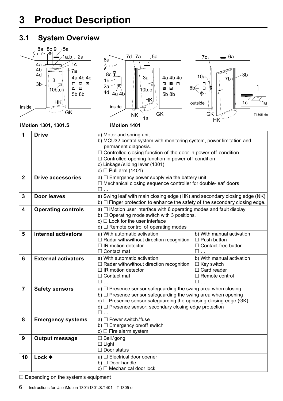# **3 Product Description**

## **3.1 System Overview**



 $\square$  Depending on the system's equipment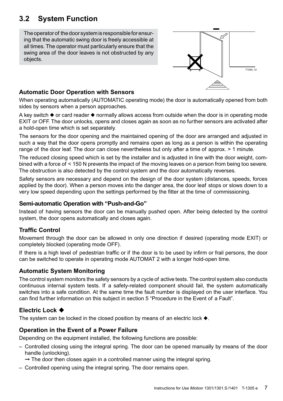## **3.2 System Function**

The operator of the door system is responsible for ensuring that the automatic swing door is freely accessible at all times. The operator must particularly ensure that the swing area of the door leaves is not obstructed by any objects.



## **Automatic Door Operation with Sensors**

When operating automatically (AUTOMATIC operating mode) the door is automatically opened from both sides by sensors when a person approaches.

A key switch  $\triangle$  or card reader  $\triangle$  normally allows access from outside when the door is in operating mode EXIT or OFF. The door unlocks, opens and closes again as soon as no further sensors are activated after a hold-open time which is set separately.

The sensors for the door opening and the maintained opening of the door are arranged and adjusted in such a way that the door opens promptly and remains open as long as a person is within the operating range of the door leaf. The door can close nevertheless but only after a time of approx.  $> 1$  minute.

The reduced closing speed which is set by the installer and is adjusted in line with the door weight, combined with a force of < 150 N prevents the impact of the moving leaves on a person from being too severe. The obstruction is also detected by the control system and the door automatically reverses.

Safety sensors are necessary and depend on the design of the door system (distances, speeds, forces applied by the door). When a person moves into the danger area, the door leaf stops or slows down to a very low speed depending upon the settings performed by the fitter at the time of commissioning.

#### **Semi-automatic Operation with "Push-and-Go"**

Instead of having sensors the door can be manually pushed open. After being detected by the control system, the door opens automatically and closes again.

## **Traffic Control**

Movement through the door can be allowed in only one direction if desired (operating mode EXIT) or completely blocked (operating mode OFF).

If there is a high level of pedestrian traffic or if the door is to be used by infirm or frail persons, the door can be switched to operate in operating mode AUTOMAT 2 with a longer hold-open time.

## **Automatic System Monitoring**

The control system monitors the safety sensors by a cycle of active tests. The control system also conducts continuous internal system tests. If a safety-related component should fail, the system automatically switches into a safe condition. At the same time the fault number is displayed on the user interface. You can find further information on this subject in section 5 "Procedure in the Event of a Fault".

## **Electric Lock**  $\blacklozenge$

The system can be locked in the closed position by means of an electric lock  $\blacklozenge$ .

## **Operation in the Event of a Power Failure**

Depending on the equipment installed, the following functions are possible:

- Controlled closing using the integral spring. The door can be opened manually by means of the door handle (unlocking).
	- $\rightarrow$  The door then closes again in a controlled manner using the integral spring.
- Controlled opening using the integral spring. The door remains open.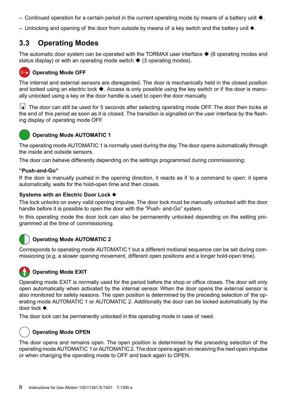- Continued operation for a certain period in the current operating mode by means of a battery unit  $\blacklozenge$ .
- $-$  Unlocking and opening of the door from outside by means of a key switch and the battery unit  $\bullet$ .

## **3.3 Operating Modes**

The automatic door system can be operated with the TORMAX user interface  $\blacklozenge$  (6 operating modes and status display) or with an operating mode switch  $\triangle$  (3 operating modes).



#### **O<sub>D</sub>** Operating Mode OFF

The internal and external sensors are disregarded. The door is mechanically held in the closed position and locked using an electric lock  $\blacklozenge$ . Access is only possible using the key switch or if the door is manually unlocked using a key or the door handle is used to open the door manually.

The door can still be used for 5 seconds after selecting operating mode OFF. The door then locks at the end of this period as soon as it is closed. The transition is signalled on the user interface by the flashing display of operating mode OFF.



#### **Operating Mode AUTOMATIC 1**

The operating mode AUTOMATIC 1 is normally used during the day. The door opens automatically through the inside and outside sensors.

The door can behave differently depending on the settings programmed during commissioning:

#### **"Push-and-Go"**

If the door is manually pushed in the opening direction, it reacts as if to a command to open: it opens automatically, waits for the hold-open time and then closes.

#### Systems with an Electric Door Lock  $\blacklozenge$

The lock unlocks on every valid opening impulse. The door lock must be manually unlocked with the door handle before it is possible to open the door with the "Push- and-Go" system.

In this operating mode the door lock can also be permanently unlocked depending on the setting programmed at the time of commissioning.

## **Operating Mode AUTOMATIC 2**

Corresponds to operating mode AUTOMATIC1 but a different motional sequence can be set during commissioning (e.g. a slower opening movement, different open positions and a longer hold-open time).



#### **Operating Mode EXIT**

Operating mode EXIT is normally used for the period before the shop or office closes. The door will only open automatically when activated by the internal sensor. When the door opens the external sensor is also monitored for safety reasons. The open position is determined by the preceding selection of the operating mode AUTOMATIC 1 or AUTOMATIC 2. Additionally the door can be locked automatically by the door lock  $\blacklozenge$ .

The door lock can be permanently unlocked in this operating mode in case of need.



#### **Operating Mode OPEN**

The door opens and remains open. The open position is determined by the preceding selection of the operating modeAUTOMATIC 1 orAUTOMATIC 2. The door opens again on receiving the next open impulse or when changing the operating mode to OFF and back again to OPEN.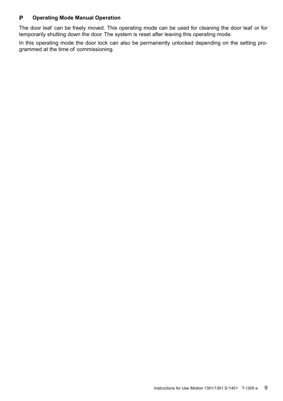#### **Operating Mode Manual Operation P**

The door leaf can be freely moved. This operating mode can be used for cleaning the door leaf or for temporarily shutting down the door. The system is reset after leaving this operating mode.

In this operating mode the door lock can also be permanently unlocked depending on the setting programmed at the time of commissioning.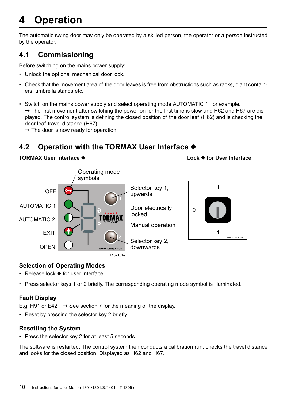# **4 Operation**

The automatic swing door may only be operated by a skilled person, the operator or a person instructed by the operator.

## **4.1 Commissioning**

Before switching on the mains power supply:

- Unlock the optional mechanical door lock.
- • Check that the movement area of the door leaves is free from obstructions such as racks, plant containers, umbrella stands etc.
- • Switch on the mains power supply and select operating mode AUTOMATIC 1, for example.  $\rightarrow$  The first movement after switching the power on for the first time is slow and H62 and H67 are displayed. The control system is defining the closed position of the door leaf (H62) and is checking the door leaf travel distance (H67).
	- $\rightarrow$  The door is now ready for operation.

## **4.2 Operation with the TORMAX User Interface ♦**

#### **TORMAX User Interface ◆ Weblack Lock → for User Interface**



## **Selection of Operating Modes**

- $\cdot$  Release lock  $\blacklozenge$  for user interface.
- Press selector keys 1 or 2 briefly. The corresponding operating mode symbol is illuminated.

## **Fault Display**

E.g. H91 or E42  $\rightarrow$  See section 7 for the meaning of the display.

• Reset by pressing the selector key 2 briefly.

#### **Resetting the System**

• Press the selector key 2 for at least 5 seconds.

The software is restarted. The control system then conducts a calibration run, checks the travel distance and looks for the closed position. Displayed as H62 and H67.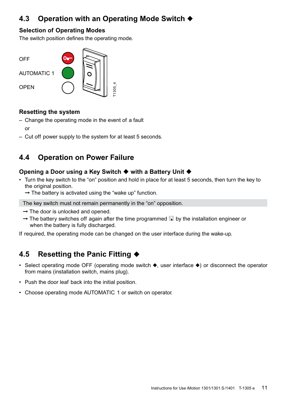## **4.3** Operation with an Operating Mode Switch ♦

#### **Selection of Operating Modes**

The switch position defines the operating mode.



#### **Resetting the system**

– Change the operating mode in the event of a fault

or

– Cut off power supply to the system for at least 5 seconds.

## **4.4 Operation on Power Failure**

#### **Opening a Door using a Key Switch ♦ with a Battery Unit ♦**

- • Turn the key switch to the "on" position and hold in place for at least 5 seconds, then turn the key to the original position.
	- $\rightarrow$  The battery is activated using the "wake up" function.

The key switch must not remain permanently in the "on" opposition.

- $\rightarrow$  The door is unlocked and opened.
- $\rightarrow$  The battery switches off again after the time programmed  $\Box$  by the installation engineer or when the battery is fully discharged.

If required, the operating mode can be changed on the user interface during the wake-up.

## **4.5** Resetting the Panic Fitting ♦

- Select operating mode OFF (operating mode switch  $\blacklozenge$ , user interface  $\blacklozenge$ ) or disconnect the operator from mains (installation switch, mains plug).
- Push the door leaf back into the initial position.
- Choose operating mode AUTOMATIC 1 or switch on operator.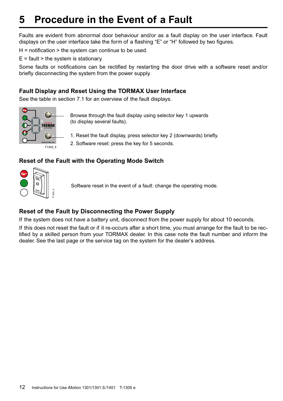# **5 Procedure in the Event of a Fault**

Faults are evident from abnormal door behaviour and/or as a fault display on the user interface. Fault displays on the user interface take the form of a flashing "E" or "H" followed by two figures.

 $H =$  notification  $>$  the system can continue to be used.

 $E =$  fault  $>$  the system is stationary.

Some faults or notifications can be rectified by restarting the door drive with a software reset and/or briefly disconnecting the system from the power supply.

#### **Fault Display and Reset Using the TORMAX User Interface**

See the table in section 7.1 for an overview of the fault displays.



Browse through the fault display using selector key 1 upwards (to display several faults).

1. Reset the fault display, press selector key 2 (downwards) briefly.

2. Software reset: press the key for 5 seconds.

## **Reset of the Fault with the Operating Mode Switch**



Software reset in the event of a fault: change the operating mode.

## **Reset of the Fault by Disconnecting the Power Supply**

If the system does not have a battery unit, disconnect from the power supply for about 10 seconds.

If this does not reset the fault or if it re-occurs after a short time, you must arrange for the fault to be rectified by a skilled person from your TORMAX dealer. In this case note the fault number and inform the dealer. See the last page or the service tag on the system for the dealer's address.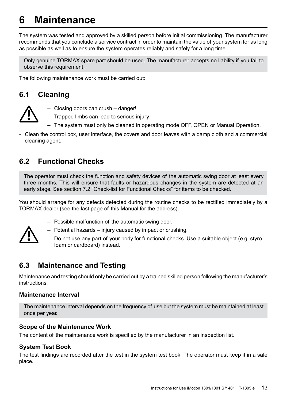# **6 Maintenance**

The system was tested and approved by a skilled person before initial commissioning. The manufacturer recommends that you conclude a service contract in order to maintain the value of your system for as long as possible as well as to ensure the system operates reliably and safely for a long time.

Only genuine TORMAX spare part should be used. The manufacturer accepts no liability if you fail to observe this requirement.

The following maintenance work must be carried out:

## **6.1 Cleaning**



- – Closing doors can crush danger!
- – Trapped limbs can lead to serious injury.
- The system must only be cleaned in operating mode OFF, OPEN or Manual Operation.
- Clean the control box, user interface, the covers and door leaves with a damp cloth and a commercial cleaning agent.

## **6.2 Functional Checks**

The operator must check the function and safety devices of the automatic swing door at least every three months. This will ensure that faults or hazardous changes in the system are detected at an early stage. See section 7.2 "Check-list for Functional Checks" for items to be checked.

You should arrange for any defects detected during the routine checks to be rectified immediately by a TORMAX dealer (see the last page of this Manual for the address).



- – Possible malfunction of the automatic swing door.
- Potential hazards injury caused by impact or crushing.
- $-$  Do not use any part of your body for functional checks. Use a suitable object (e.g. styrofoam or cardboard) instead.

## **6.3 Maintenance and Testing**

Maintenance and testing should only be carried out by a trained skilled person following the manufacturer's **instructions** 

#### **Maintenance Interval**

The maintenance interval depends on the frequency of use but the system must be maintained at least once per year.

#### **Scope of the Maintenance Work**

The content of the maintenance work is specified by the manufacturer in an inspection list.

#### **System Test Book**

The test findings are recorded after the test in the system test book. The operator must keep it in a safe place.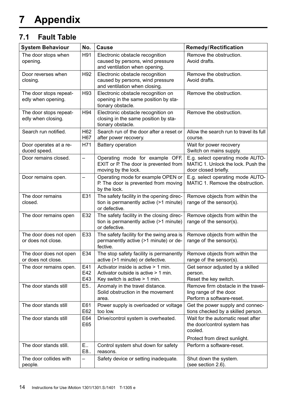## **7.1 Fault Table**

| <b>System Behaviour</b>                      | No.                      | Cause                                                                                                          | Remedy/Rectification                                                                           |
|----------------------------------------------|--------------------------|----------------------------------------------------------------------------------------------------------------|------------------------------------------------------------------------------------------------|
| The door stops when<br>opening.              | H91                      | Electronic obstacle recognition<br>caused by persons, wind pressure<br>and ventilation when opening.           | Remove the obstruction.<br>Avoid drafts.                                                       |
| Door reverses when<br>closing.               | H92                      | Electronic obstacle recognition<br>caused by persons, wind pressure<br>and ventilation when closing.           | Remove the obstruction.<br>Avoid drafts.                                                       |
| The door stops repeat-<br>edly when opening. | H93                      | Electronic obstacle recognition on<br>opening in the same position by sta-<br>tionary obstacle.                | Remove the obstruction.                                                                        |
| The door stops repeat-<br>edly when closing. | H94                      | Electronic obstacle recognition on<br>closing in the same position by sta-<br>tionary obstacle.                | Remove the obstruction.                                                                        |
| Search run notified.                         | H62<br>H67               | Search run of the door after a reset or<br>after power recovery.                                               | Allow the search run to travel its full<br>course.                                             |
| Door operates at a re-<br>duced speed.       | H71                      | Battery operation                                                                                              | Wait for power recovery<br>Switch on mains supply.                                             |
| Door remains closed.                         | $\overline{\phantom{0}}$ | Operating mode for example OFF,<br>EXIT or P. The door is prevented from<br>moving by the lock.                | E.g. select operating mode AUTO-<br>MATIC 1. Unlock the lock. Push the<br>door closed briefly. |
| Door remains open.                           | $\overline{\phantom{0}}$ | Operating mode for example OPEN or<br>P. The door is prevented from moving<br>by the lock.                     | E.g. select operating mode AUTO-<br>MATIC 1. Remove the obstruction.                           |
| The door remains<br>closed.                  | E31                      | The safety facility in the opening direc-<br>tion is permanently active (>1 minute)<br>or defective.           | Remove objects from within the<br>range of the sensor(s).                                      |
| The door remains open                        | E32                      | The safety facility in the closing direc-<br>tion is permanently active (>1 minute)<br>or defective.           | Remove objects from within the<br>range of the sensor(s).                                      |
| The door does not open<br>or does not close. | E33                      | The safety facility for the swing area is<br>permanently active (>1 minute) or de-<br>fective.                 | Remove objects from within the<br>range of the sensor(s).                                      |
| The door does not open<br>or does not close. | E34                      | The stop safety facility is permanently<br>active (>1 minute) or defective.                                    | Remove objects from within the<br>range of the sensor(s).                                      |
| The door remains open.                       | E41<br>E42<br>E43        | Activator inside is active > 1 min.<br>Activator outside is active > 1 min.<br>Key switch is active $> 1$ min. | Get sensor adjusted by a skilled<br>person.<br>Reset the key switch.                           |
| The door stands still                        | E5.                      | Anomaly in the travel distance.<br>Solid obstruction in the movement<br>area.                                  | Remove firm obstacle in the travel-<br>ling range of the door.<br>Perform a software-reset.    |
| The door stands still                        | E61<br>E62               | Power supply is overloaded or voltage<br>too low.                                                              | Get the power supply and connec-<br>tions checked by a skilled person.                         |
| The door stands still                        | E64<br>E65               | Drive/control system is overheated.                                                                            | Wait for the automatic reset after<br>the door/control system has<br>cooled.                   |
| The door stands still.                       | E.,                      | Control system shut down for safety                                                                            | Protect from direct sunlight.<br>Perform a software-reset.                                     |
|                                              | E8.                      | reasons.                                                                                                       |                                                                                                |
| The door collides with<br>people.            | $\overline{a}$           | Safety device or setting inadequate.                                                                           | Shut down the system.<br>(see section 2.6).                                                    |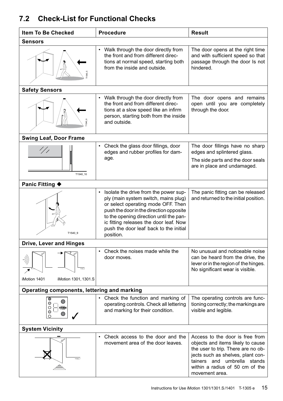## **7.2 Check-List for Functional Checks**

| <b>Item To Be Checked</b>                                              | <b>Procedure</b>                                                                                                                                                                                                                                                                                             | <b>Result</b>                                                                                                                                                                                                                       |  |
|------------------------------------------------------------------------|--------------------------------------------------------------------------------------------------------------------------------------------------------------------------------------------------------------------------------------------------------------------------------------------------------------|-------------------------------------------------------------------------------------------------------------------------------------------------------------------------------------------------------------------------------------|--|
| Sensors                                                                |                                                                                                                                                                                                                                                                                                              |                                                                                                                                                                                                                                     |  |
|                                                                        | Walk through the door directly from<br>$\bullet$<br>the front and from different direc-<br>tions at normal speed, starting both<br>from the inside and outside.                                                                                                                                              | The door opens at the right time<br>and with sufficient speed so that<br>passage through the door Is not<br>hindered.                                                                                                               |  |
| <b>Safety Sensors</b>                                                  |                                                                                                                                                                                                                                                                                                              |                                                                                                                                                                                                                                     |  |
|                                                                        | Walk through the door directly from<br>the front and from different direc-<br>tions at a slow speed like an infirm<br>person, starting both from the inside<br>and outside.                                                                                                                                  | The door opens and remains<br>open until you are completely<br>through the door.                                                                                                                                                    |  |
| <b>Swing Leaf, Door Frame</b>                                          |                                                                                                                                                                                                                                                                                                              |                                                                                                                                                                                                                                     |  |
| $^{\prime}/$ / $^{\prime}$<br>T1540_10                                 | • Check the glass door fillings, door<br>edges and rubber profiles for dam-<br>age.                                                                                                                                                                                                                          | The door fillings have no sharp<br>edges and splintered glass.<br>The side parts and the door seals<br>are in place and undamaged.                                                                                                  |  |
| <b>Panic Fitting ♦</b>                                                 |                                                                                                                                                                                                                                                                                                              |                                                                                                                                                                                                                                     |  |
| T1540 9                                                                | • Isolate the drive from the power sup-<br>ply (main system switch, mains plug)<br>or select operating mode OFF. Then<br>push the door in the direction opposite<br>to the opening direction until the pan-<br>ic fitting releases the door leaf. Now<br>push the door leaf back to the initial<br>position. | The panic fitting can be released<br>and returned to the initial position.                                                                                                                                                          |  |
| Drive, Lever and Hinges                                                |                                                                                                                                                                                                                                                                                                              |                                                                                                                                                                                                                                     |  |
| iMotion 1401<br>iMotion 1301, 1301.S                                   | Check the noises made while the<br>$\bullet$<br>door moves.                                                                                                                                                                                                                                                  | No unusual and noticeable noise<br>can be heard from the drive, the<br>lever or in the region of the hinges.<br>No significant wear is visible.                                                                                     |  |
| Operating components, lettering and marking                            |                                                                                                                                                                                                                                                                                                              |                                                                                                                                                                                                                                     |  |
| $\overline{\mathsf{o}}$<br>$\bigcirc$<br>$\circ$<br>TORMAX<br>$\Omega$ | • Check the function and marking of<br>operating controls. Check all lettering<br>and marking for their condition.                                                                                                                                                                                           | The operating controls are func-<br>tioning correctly; the markings are<br>visible and legible.                                                                                                                                     |  |
| <b>System Vicinity</b>                                                 |                                                                                                                                                                                                                                                                                                              |                                                                                                                                                                                                                                     |  |
| T1540 7                                                                | • Check access to the door and the<br>movement area of the door leaves.                                                                                                                                                                                                                                      | Access to the door is free from<br>objects and items likely to cause<br>the user to trip. There are no ob-<br>jects such as shelves, plant con-<br>tainers and umbrella stands<br>within a radius of 50 cm of the<br>movement area. |  |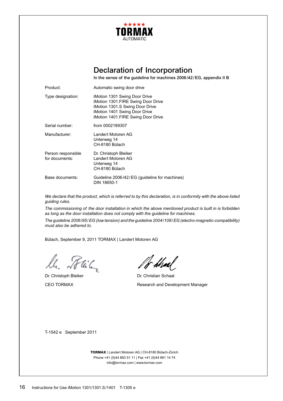

## Declaration of Incorporation

In the sense of the guideline for machines 2006/42/EG, appendix II B

| Product:                             | Automatic swing door drive                                                                                                                                                    |
|--------------------------------------|-------------------------------------------------------------------------------------------------------------------------------------------------------------------------------|
| Type designation:                    | iMotion 1301 Swing Door Drive<br>iMotion 1301.FIRE Swing Door Drive<br>iMotion 1301.S Swing Door Drive<br>iMotion 1401 Swing Door Drive<br>iMotion 1401.FIRE Swing Door Drive |
| Serial number:                       | from 0002189307                                                                                                                                                               |
| Manufacturer:                        | I andert Motoren AG<br>Unterweg 14<br>CH-8180 Bülach                                                                                                                          |
| Person responsible<br>for documents: | Dr. Christoph Bleiker<br>Landert Motoren AG<br>Unterweg 14<br>CH-8180 Bülach                                                                                                  |
| Base documents:                      | Guideline 2006/42/EG (quideline for machines)<br>DIN 18650-1                                                                                                                  |

*We declare that the product, which is referred to by this declaration, is in conformity with the above listed guiding rules.* 

*The commissioning of the door installation in which the above mentioned product is built in is forbidden as long as the door installation does not comply with the guideline for machines.*

*The guideline 2006/95/EG (low tension) and the guideline 2004/108/EG (electro-magnetic-compatibility) must also be adhered to.*

Bülach, September 9, 2011 TORMAX | Landert Motoren AG

ll. Phil

Dr. Christoph Bleiker **Dr. Christian Schaal** 

/f<sup>-</sup>hhal

CEO TORMAX Research and Development Manager

T-1542 e September 2011

**TORMAX** | Landert Motoren AG | CH-8180 Bülach-Zürich Phone +41 (0)44 863 51 11 | Fax +41 (0)44 861 14 74 info@tormax.com | www.tormax.com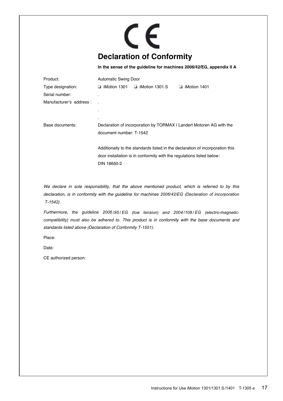# CE **Declaration of Conformity**

**In the sense of the guideline for machines 2006/42/EG, appendix II A**

| Product:                 | <b>Automatic Swing Door</b>                                                                                                                            |                       |                     |
|--------------------------|--------------------------------------------------------------------------------------------------------------------------------------------------------|-----------------------|---------------------|
| Type designation:        | $\Box$ iMotion 1301                                                                                                                                    | $\Box$ iMotion 1301.S | $\Box$ iMotion 1401 |
| Serial number:           |                                                                                                                                                        |                       |                     |
| Manufacturer's address : |                                                                                                                                                        |                       |                     |
|                          |                                                                                                                                                        |                       |                     |
|                          | $\blacksquare$                                                                                                                                         |                       |                     |
| Base documents:          | Declaration of incorporation by TORMAX I Landert Motoren AG with the                                                                                   |                       |                     |
|                          | document number: T-1542                                                                                                                                |                       |                     |
|                          |                                                                                                                                                        |                       |                     |
|                          | Additionally to the standards listed in the declaration of incorporation this<br>door installation is in conformity with the regulations listed below: |                       |                     |
|                          |                                                                                                                                                        |                       |                     |
|                          | DIN 18650-2                                                                                                                                            |                       |                     |
|                          |                                                                                                                                                        |                       |                     |

*We declare in sole responsibility, that the above mentioned product, which is referred to by this declaration, is in conformity with the guideline for machines 2006/42/EG (Declaration of incorporation T-1542).*

*Furthermore, the guideline 2006 /95 / EG (low tension) and 2004 /108 / EG (electro-magneticcompatibility) must also be adhered to. This product is in conformity with the base documents and standards listed above (Declaration of Conformity T-1551).*

Place:

Date:

CE authorized person: